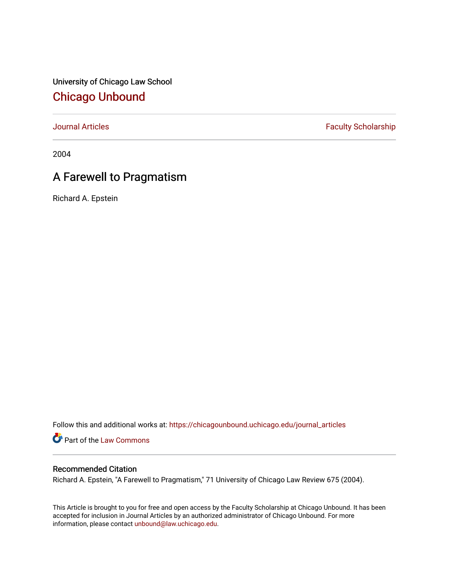University of Chicago Law School [Chicago Unbound](https://chicagounbound.uchicago.edu/)

[Journal Articles](https://chicagounbound.uchicago.edu/journal_articles) **Faculty Scholarship Faculty Scholarship** 

2004

# A Farewell to Pragmatism

Richard A. Epstein

Follow this and additional works at: [https://chicagounbound.uchicago.edu/journal\\_articles](https://chicagounbound.uchicago.edu/journal_articles?utm_source=chicagounbound.uchicago.edu%2Fjournal_articles%2F4315&utm_medium=PDF&utm_campaign=PDFCoverPages) 

Part of the [Law Commons](http://network.bepress.com/hgg/discipline/578?utm_source=chicagounbound.uchicago.edu%2Fjournal_articles%2F4315&utm_medium=PDF&utm_campaign=PDFCoverPages)

## Recommended Citation

Richard A. Epstein, "A Farewell to Pragmatism," 71 University of Chicago Law Review 675 (2004).

This Article is brought to you for free and open access by the Faculty Scholarship at Chicago Unbound. It has been accepted for inclusion in Journal Articles by an authorized administrator of Chicago Unbound. For more information, please contact [unbound@law.uchicago.edu](mailto:unbound@law.uchicago.edu).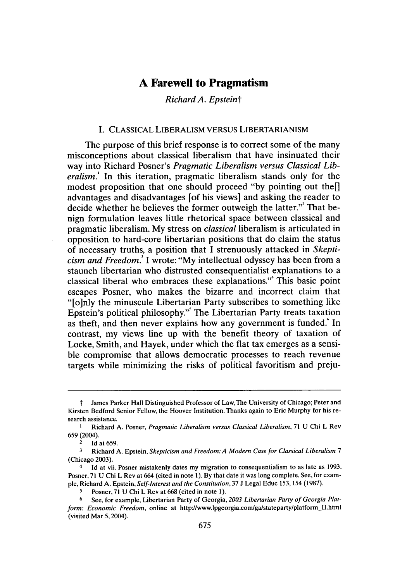## **A Farewell to Pragmatism**

*Richard A. Epsteint*

#### I. CLASSICAL LIBERALISM VERSUS LIBERTARIANISM

The purpose of this brief response is to correct some of the many misconceptions about classical liberalism that have insinuated their way into Richard Posner's *Pragmatic Liberalism versus Classical Liberalism.'* In this iteration, pragmatic liberalism stands only for the modest proposition that one should proceed **"by** pointing out the[] advantages and disadvantages [of his views] and asking the reader to decide whether he believes the former outweigh the latter."<sup>2</sup> That benign formulation leaves little rhetorical space between classical and pragmatic liberalism. **My** stress on *classical* liberalism is articulated in opposition to hard-core libertarian positions that do claim the status of necessary truths, a position that **I** strenuously attacked in *Skepticism and Freedom.* I wrote: **"My** intellectual odyssey has been from a staunch libertarian who distrusted consequentialist explanations to a classical liberal who embraces these explanations." This basic point escapes Posner, who makes the bizarre and incorrect claim that "[o]nly the minuscule Libertarian Party subscribes to something like Epstein's political philosophy."' The Libertarian Party treats taxation as theft, and then never explains how any government is funded.<sup>\*</sup> In contrast, my views line up with the benefit theory of taxation of Locke, Smith, and Hayek, under which the flat tax emerges as a sensible compromise that allows democratic processes to reach revenue targets while minimizing the risks of political favoritism and preju-

**t** James Parker Hall Distinguished Professor of Law, The University of Chicago; Peter and Kirsten Bedford Senior Fellow, the Hoover Institution. Thanks again to Eric Murphy for his research assistance.

**I** Richard A. Posner, Pragmatic Liberalism versus *Classical Liberalism,* 71 U Chi L Rev 659 (2004).

Id at 659.

**<sup>3</sup>**Richard A. Epstein, *Skepticism and Freedom: A Modern Case for Classical Liberalism 7* (Chicago 2003).

<sup>4</sup> Id at vii. Posner mistakenly dates my migration to consequentialism to as late as 1993. Posner, 71 U Chi L Rev at 664 (cited in note 1). By that date it was long complete. See, for example, Richard **A.** Epstein, *Self-Interest and the Constitution,* 37 J Legal Educ 153, 154 (1987).

**<sup>5</sup>** Posner, 71 U Chi L Rev at **668** (cited in note 1).

**<sup>6</sup>** See, for example, Libertarian Party of Georgia, *2003 Libertarian Party of Georgia Platform: Economic Freedom,* online at http://www.lpgeorgia.com/ga/stateparty/platform-II.htm (visited Mar 5,2004).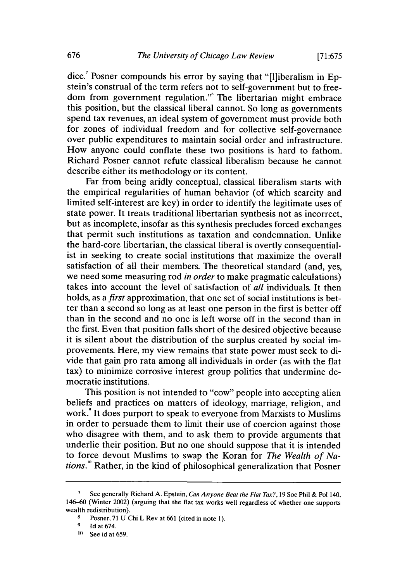dice.<sup>7</sup> Posner compounds his error by saying that "[l]iberalism in Epstein's construal of the term refers not to self-government but to freedom from government regulation."" The libertarian might embrace this position, but the classical liberal cannot. So long as governments spend tax revenues, an ideal system of government must provide both for zones of individual freedom and for collective self-governance over public expenditures to maintain social order and infrastructure. How anyone could conflate these two positions is hard to fathom. Richard Posner cannot refute classical liberalism because he cannot describe either its methodology or its content.

Far from being aridly conceptual, classical liberalism starts with the empirical regularities of human behavior (of which scarcity and limited self-interest are key) in order to identify the legitimate uses of state power. It treats traditional libertarian synthesis not as incorrect, but as incomplete, insofar as this synthesis precludes forced exchanges that permit such institutions as taxation and condemnation. Unlike the hard-core libertarian, the classical liberal is overtly consequentialist in seeking to create social institutions that maximize the overall satisfaction of all their members. The theoretical standard (and, yes, we need some measuring rod *in order* to make pragmatic calculations) takes into account the level of satisfaction of *all* individuals. It then holds, as a *first* approximation, that one set of social institutions is better than a second so long as at least one person in the first is better off than in the second and no one is left worse off in the second than in the first. Even that position falls short of the desired objective because it is silent about the distribution of the surplus created by social improvements. Here, my view remains that state power must seek to divide that gain pro rata among all individuals in order (as with the flat tax) to minimize corrosive interest group politics that undermine democratic institutions.

This position is not intended to "cow" people into accepting alien beliefs and practices on matters of ideology, marriage, religion, and work.<sup>9</sup> It does purport to speak to everyone from Marxists to Muslims in order to persuade them to limit their use of coercion against those who disagree with them, and to ask them to provide arguments that underlie their position. But no one should suppose that it is intended to force devout Muslims to swap the Koran for *The Wealth of Nations."'* Rather, in the kind of philosophical generalization that Posner

**<sup>7</sup>** See generally Richard **A.** Epstein, *Can Anyone Beat the Flat Tax?,* **19** Soc Phil **&** Pol 140, 146-60 (Winter 2002) (arguing that the flat tax works well regardless of whether one supports wealth redistribution).

**<sup>8</sup>** Posner, **71 U** Chi L Rev at **661** (cited in note **1).**

**<sup>9</sup> Id** at 674.

**<sup>&</sup>quot;)** See id at 659.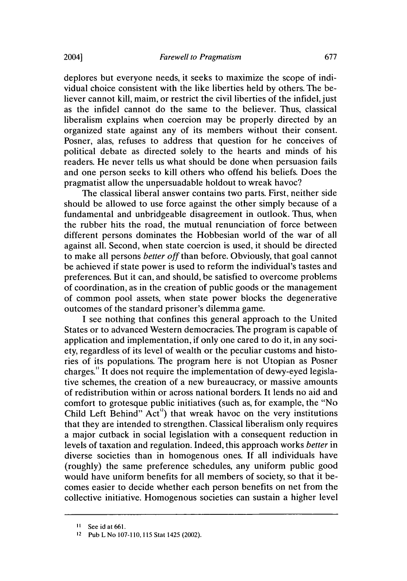deplores but everyone needs, it seeks to maximize the scope of individual choice consistent with the like liberties held by others. The believer cannot kill, maim, or restrict the civil liberties of the infidel, just as the infidel cannot do the same to the believer. Thus, classical liberalism explains when coercion may be properly directed by an organized state against any of its members without their consent. Posner, alas, refuses to address that question for he conceives of political debate as directed solely to the hearts and minds of his readers. He never tells us what should be done when persuasion fails and one person seeks to kill others who offend his beliefs. Does the pragmatist allow the unpersuadable holdout to wreak havoc?

The classical liberal answer contains two parts. First, neither side should be allowed to use force against the other simply because of a fundamental and unbridgeable disagreement in outlook. Thus, when the rubber hits the road, the mutual renunciation of force between different persons dominates the Hobbesian world of the war of all against all. Second, when state coercion is used, it should be directed to make all persons *better off* than before. Obviously, that goal cannot be achieved if state power is used to reform the individual's tastes and preferences. But it can, and should, be satisfied to overcome problems of coordination, as in the creation of public goods or the management of common pool assets, when state power blocks the degenerative outcomes of the standard prisoner's dilemma game.

I see nothing that confines this general approach to the United States or to advanced Western democracies. The program is capable of application and implementation, if only one cared to do it, in any society, regardless of its level of wealth or the peculiar customs and histories of its populations. The program here is not Utopian as Posner charges." It does not require the implementation of dewy-eyed legislative schemes, the creation of a new bureaucracy, or massive amounts of redistribution within or across national borders. It lends no aid and comfort to grotesque public initiatives (such as, for example, the "No Child Left Behind" Act") that wreak havoc on the very institutions that they are intended to strengthen. Classical liberalism only requires a major cutback in social legislation with a consequent reduction in levels of taxation and regulation. Indeed, this approach works *better* in diverse societies than in homogenous ones. If all individuals have (roughly) the same preference schedules, any uniform public good would have uniform benefits for all members of society, so that it becomes easier to decide whether each person benefits on net from the collective initiative. Homogenous societies can sustain a higher level

**I1** Seeidat661.

**<sup>12</sup>**Pub L No **107-110,115** Stat 1425 (2002).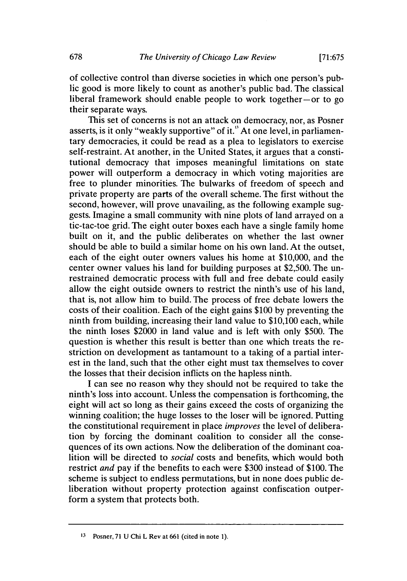of collective control than diverse societies in which one person's public good is more likely to count as another's public bad. The classical liberal framework should enable people to work together-or to go their separate ways.

This set of concerns is not an attack on democracy, nor, as Posner asserts, is it only "weakly supportive" of it." At one level, in parliamentary democracies, it could be read as a plea to legislators to exercise self-restraint. At another, in the United States, it argues that a constitutional democracy that imposes meaningful limitations on state power will outperform a democracy in which voting majorities are free to plunder minorities. The bulwarks of freedom of speech and private property are parts of the overall scheme. The first without the second, however, will prove unavailing, as the following example suggests. Imagine a small community with nine plots of land arrayed on a tic-tac-toe grid. The eight outer boxes each have a single family home built on it, and the public deliberates on whether the last owner should be able to build a similar home on his own land. At the outset, each of the eight outer owners values his home at \$10,000, and the center owner values his land for building purposes at \$2,500. The unrestrained democratic process with full and free debate could easily allow the eight outside owners to restrict the ninth's use of his land, that is, not allow him to build. The process of free debate lowers the costs of their coalition. Each of the eight gains \$100 by preventing the ninth from building, increasing their land value to \$10,100 each, while the ninth loses \$2000 in land value and is left with only \$500. The question is whether this result is better than one which treats the restriction on development as tantamount to a taking of a partial interest in the land, such that the other eight must tax themselves to cover the losses that their decision inflicts on the hapless ninth.

I can see no reason why they should not be required to take the ninth's loss into account. Unless the compensation is forthcoming, the eight will act so long as their gains exceed the costs of organizing the winning coalition; the huge losses to the loser will be ignored. Putting the constitutional requirement in place *improves* the level of deliberation by forcing the dominant coalition to consider all the consequences of its own actions. Now the deliberation of the dominant coalition will be directed to *social* costs and benefits, which would both restrict *and* pay if the benefits to each were \$300 instead of \$100. The scheme is subject to endless permutations, but in none does public deliberation without property protection against confiscation outperform a system that protects both.

**<sup>13</sup>**Posner, **71 U** Chi L Rev at **661** (cited in note **1).**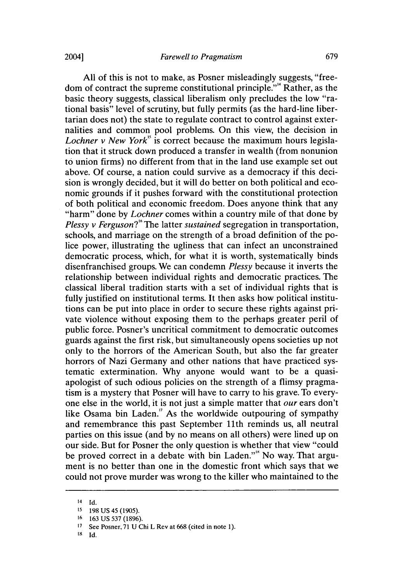All of this is not to make, as Posner misleadingly suggests, "freedom of contract the supreme constitutional principle."'4 Rather, as the basic theory suggests, classical liberalism only precludes the low "rational basis" level of scrutiny, but fully permits (as the hard-line libertarian does not) the state to regulate contract to control against externalities and common pool problems. On this view, the decision in *Lochner v New York"* is correct because the maximum hours legislation that it struck down produced a transfer in wealth (from nonunion to union firms) no different from that in the land use example set out above. Of course, a nation could survive as a democracy if this decision is wrongly decided, but it will do better on both political and economic grounds if it pushes forward with the constitutional protection of both political and economic freedom. Does anyone think that any "harm" done by *Lochner* comes within a country mile of that done by *Plessy v Ferguson?"* The latter *sustained* segregation in transportation, schools, and marriage on the strength of a broad definition of the police power, illustrating the ugliness that can infect an unconstrained democratic process, which, for what it is worth, systematically binds disenfranchised groups. We can condemn *Plessy* because it inverts the relationship between individual rights and democratic practices. The classical liberal tradition starts with a set of individual rights that is fully justified on institutional terms. It then asks how political institutions can be put into place in order to secure these rights against private violence without exposing them to the perhaps greater peril of public force. Posner's uncritical commitment to democratic outcomes guards against the first risk, but simultaneously opens societies up not only to the horrors of the American South, but also the far greater horrors of Nazi Germany and other nations that have practiced systematic extermination. Why anyone would want to be a quasiapologist of such odious policies on the strength of a flimsy pragmatism is a mystery that Posner will have to carry to his grave. To everyone else in the world, it is not just a simple matter that *our* ears don't like Osama bin Laden." As the worldwide outpouring of sympathy and remembrance this past September l1th reminds us, all neutral parties on this issue (and by no means on all others) were lined up on our side. But for Posner the only question is whether that view "could be proved correct in a debate with bin Laden."" No way. That argument is no better than one in the domestic front which says that we could not prove murder was wrong to the killer who maintained to the

**<sup>14</sup>** Id.

**<sup>15</sup>** 198 US 45 (1905).

**<sup>16</sup>** 163 US 537 (1896).

**<sup>17</sup>** See Posner, **71 U** Chi L Rev at **668** (cited in note **1).**

**<sup>18</sup> Id.**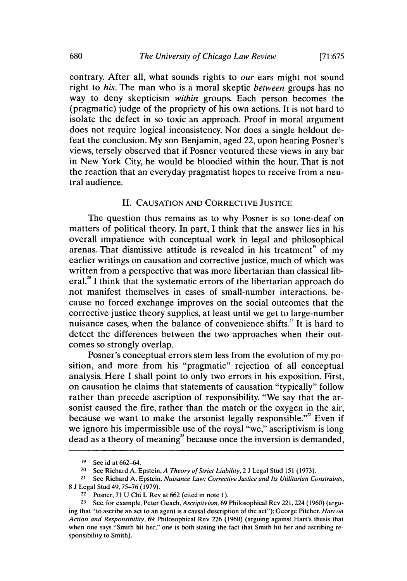contrary. After all, what sounds rights to *our* ears might not sound right to *his.* The man who is a moral skeptic *between* groups has no way to deny skepticism *within* groups. Each person becomes the (pragmatic) judge of the propriety of his own actions. It is not hard to isolate the defect in so toxic an approach. Proof in moral argument does not require logical inconsistency. Nor does a single holdout defeat the conclusion. My son Benjamin, aged 22, upon hearing Posner's views, tersely observed that if Posner ventured these views in any bar in New York City, he would be bloodied within the hour. That is not the reaction that an everyday pragmatist hopes to receive from a neutral audience.

#### II. CAUSATION AND CORRECTIVE JUSTICE

The question thus remains as to why Posner is so tone-deaf on matters of political theory. In part, I think that the answer lies in his overall impatience with conceptual work in legal and philosophical arenas. That dismissive attitude is revealed in his treatment<sup> $"$ </sup> of my earlier writings on causation and corrective justice, much of which was written from a perspective that was more libertarian than classical liberal.<sup>20</sup> I think that the systematic errors of the libertarian approach do not manifest themselves in cases of small-number interactions, because no forced exchange improves on the social outcomes that the corrective justice theory supplies, at least until we get to large-number nuisance cases, when the balance of convenience shifts.<sup>21</sup> It is hard to detect the differences between the two approaches when their outcomes so strongly overlap.

Posner's conceptual errors stem less from the evolution of my position, and more from his "pragmatic" rejection of all conceptual analysis. Here I shall point to only two errors in his exposition. First, on causation he claims that statements of causation "typically" follow rather than precede ascription of responsibility. "We say that the arsonist caused the fire, rather than the match or the oxygen in the air, because we want to make the arsonist legally responsible."" Even if we ignore his impermissible use of the royal "we," ascriptivism is long dead as a theory of meaning" because once the inversion is demanded,

<sup>&</sup>lt;sup>19</sup> See id at 662-64.

<sup>&</sup>lt;sup>20</sup> See Richard A. Epstein, *A Theory of Strict Liability*, 2 J Legal Stud 151 (1973).

<sup>&</sup>lt;sup>21</sup> See Richard A. Epstein, *Nuisance Law: Corrective Justice and Its Utilitarian Constraints,* 

<sup>8</sup> J Legal Stud 49,75-76 (1979).

 $22$  Posner, 71 U Chi L Rev at 662 (cited in note 1).

**<sup>23</sup>** See, for example, Peter Geach. *Ascriptivism.69* Philosophical Rev 221,224 (1960) (arguing that "to ascribe an act to an agent is a causal description of the act"); George Pitcher, *Hart on Action and Responsibility,* 69 Philosophical Rev 226 (1960) (arguing against Hart's thesis that when one says "Smith hit her," one is both stating the fact that Smith hit her and ascribing responsibility to Smith).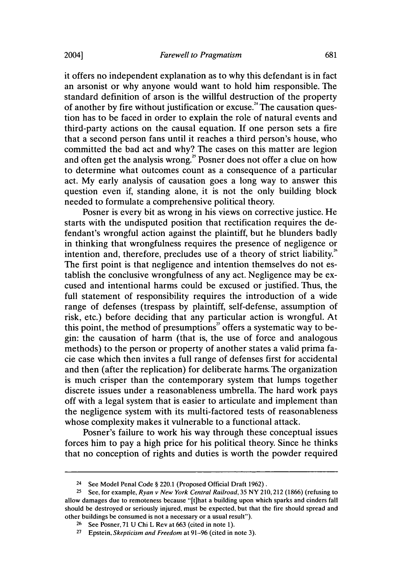it offers no independent explanation as to why this defendant is in fact an arsonist or why anyone would want to hold him responsible. The standard definition of arson is the willful destruction of the property of another by fire without justification or excuse." The causation question has to be faced in order to explain the role of natural events and third-party actions on the causal equation. If one person sets a fire that a second person fans until it reaches a third person's house, who committed the bad act and why? The cases on this matter are legion and often get the analysis wrong." Posner does not offer a clue on how to determine what outcomes count as a consequence of a particular act. My early analysis of causation goes a long way to answer this question even if, standing alone, it is not the only building block needed to formulate a comprehensive political theory.

Posner is every bit as wrong in his views on corrective justice. He starts with the undisputed position that rectification requires the defendant's wrongful action against the plaintiff, but he blunders badly in thinking that wrongfulness requires the presence of negligence or intention and, therefore, precludes use of a theory of strict liability.<sup>26</sup> The first point is that negligence and intention themselves do not establish the conclusive wrongfulness of any act. Negligence may be excused and intentional harms could be excused or justified. Thus, the full statement of responsibility requires the introduction of a wide range of defenses (trespass by plaintiff, self-defense, assumption of risk, etc.) before deciding that any particular action is wrongful. At this point, the method of presumptions" offers a systematic way to begin: the causation of harm (that is, the use of force and analogous methods) to the person or property of another states a valid prima facie case which then invites a full range of defenses first for accidental and then (after the replication) for deliberate harms. The organization is much crisper than the contemporary system that lumps together discrete issues under a reasonableness umbrella. The hard work pays off with a legal system that is easier to articulate and implement than the negligence system with its multi-factored tests of reasonableness whose complexity makes it vulnerable to a functional attack.

Posner's failure to work his way through these conceptual issues forces him to pay a high price for his political theory. Since he thinks that no conception of rights and duties is worth the powder required

<sup>24</sup>**See Model** Penal Code **§** 220.1 **(Proposed** Official **Draft 1962).**

**<sup>25</sup>** See, for example, Ryan v New York Central Railroad, **35** NY 210,212 **(1866)** (refusing to allow damages due to remoteness because "[tihat a building upon which sparks and cinders fall should be destroyed or seriously injured, must be expected, but that the fire should spread and other buildings be consumed is not a necessary or a usual result").

**<sup>26</sup>**See Posner, **71 U** Chi L Rev at **663** (cited in note **1).**

**<sup>27</sup>** Epstein, Skepticism and Freedom at **91-96** (cited in note **3).**